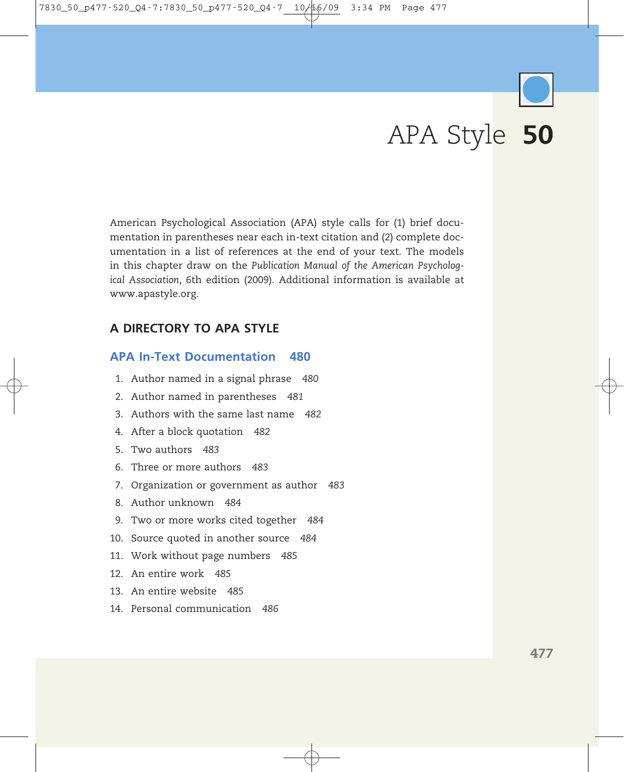

# APA Style **50**

American Psychological Association (APA) style calls for (1) brief documentation in parentheses near each in-text citation and (2) complete documentation in a list of references at the end of your text. The models in this chapter draw on the *Publication Manual of the American Psychological Association*, 6th edition (2009). Additional information is available at www.apastyle.org.

## **A DIRECTORY TO APA STYLE**

## **APA In-Text Documentation 480**

- 1. Author named in a signal phrase *480*
- 2. Author named in parentheses *481*
- 3. Authors with the same last name *482*
- 4. After a block quotation *482*
- 5. Two authors *483*
- 6. Three or more authors *483*
- 7. Organization or government as author *483*
- 8. Author unknown *484*
- 9. Two or more works cited together *484*
- 10. Source quoted in another source *484*
- 11. Work without page numbers *485*
- 12. An entire work *485*
- 13. An entire website *485*
- 14. Personal communication *486*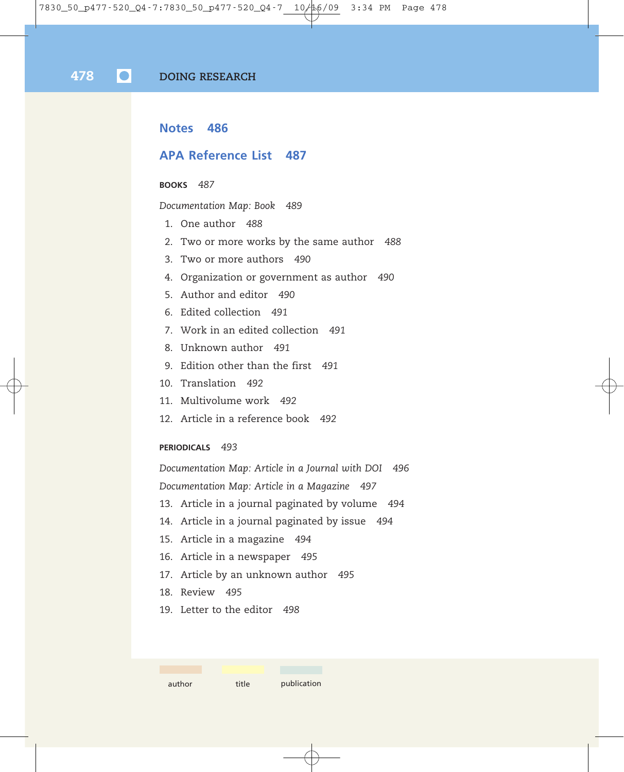## **478 DOING RESEARCH**

## **Notes 486**

## **APA Reference List 487**

#### **BOOKS** *487*

*Documentation Map: Book 489*

- 1. One author *488*
- 2. Two or more works by the same author *488*
- 3. Two or more authors *490*
- 4. Organization or government as author *490*
- 5. Author and editor *490*
- 6. Edited collection *491*
- 7. Work in an edited collection *491*
- 8. Unknown author *491*
- 9. Edition other than the first *491*
- 10. Translation *492*
- 11. Multivolume work *492*
- 12. Article in a reference book *492*

#### **PERIODICALS** *493*

*Documentation Map: Article in a Journal with DOI 496 Documentation Map: Article in a Magazine 497* 13. Article in a journal paginated by volume *494* 14. Article in a journal paginated by issue *494*

- 15. Article in a magazine *494*
- 16. Article in a newspaper *495*
- 17. Article by an unknown author *495*
- 18. Review *495*
- 19. Letter to the editor *498*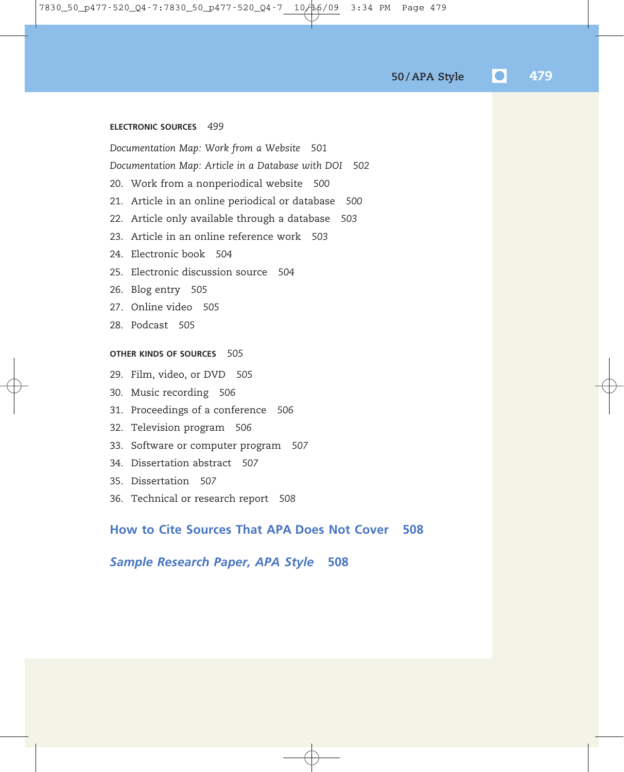#### **ELECTRONIC SOURCES** *499*

*Documentation Map: Work from a Website 501 Documentation Map: Article in a Database with DOI 502* 20. Work from a nonperiodical website *500*

- 21. Article in an online periodical or database *500*
- 22. Article only available through a database *503*
- 23. Article in an online reference work *503*
- 24. Electronic book *504*
- 25. Electronic discussion source *504*
- 26. Blog entry *505*
- 27. Online video *505*
- 28. Podcast *505*

#### **OTHER KINDS OF SOURCES** *505*

- 29. Film, video, or DVD *505*
- 30. Music recording *506*
- 31. Proceedings of a conference *506*
- 32. Television program *506*
- 33. Software or computer program *507*
- 34. Dissertation abstract *507*
- 35. Dissertation *507*
- 36. Technical or research report *508*

## **How to Cite Sources That APA Does Not Cover 508**

## *Sample Research Paper, APA Style* **508**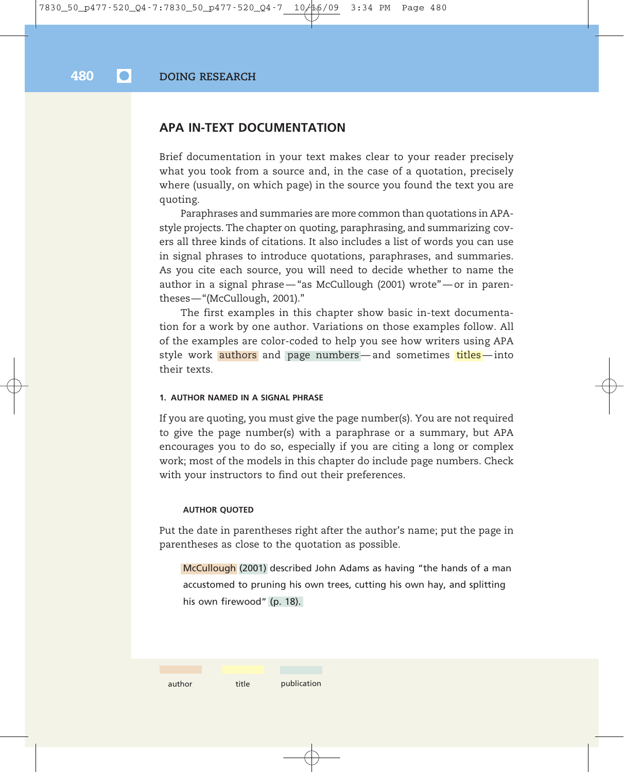## **APA IN-TEXT DOCUMENTATION**

Brief documentation in your text makes clear to your reader precisely what you took from a source and, in the case of a quotation, precisely where (usually, on which page) in the source you found the text you are quoting.

Paraphrases and summaries are more common than quotations in APAstyle projects. The chapter on quoting, paraphrasing, and summarizing covers all three kinds of citations. It also includes a list of words you can use in signal phrases to introduce quotations, paraphrases, and summaries. As you cite each source, you will need to decide whether to name the author in a signal phrase - "as McCullough (2001) wrote" - or in parentheses—"(McCullough, 2001)."

The first examples in this chapter show basic in-text documentation for a work by one author. Variations on those examples follow. All of the examples are color-coded to help you see how writers using APA style work **authors** and page numbers—and sometimes titles—into their texts.

#### **1. AUTHOR NAMED IN A SIGNAL PHRASE**

If you are quoting, you must give the page number(s). You are not required to give the page number(s) with a paraphrase or a summary, but APA encourages you to do so, especially if you are citing a long or complex work; most of the models in this chapter do include page numbers. Check with your instructors to find out their preferences.

#### **AUTHOR QUOTED**

Put the date in parentheses right after the author's name; put the page in parentheses as close to the quotation as possible.

McCullough (2001) described John Adams as having "the hands of a man accustomed to pruning his own trees, cutting his own hay, and splitting his own firewood" (p. 18).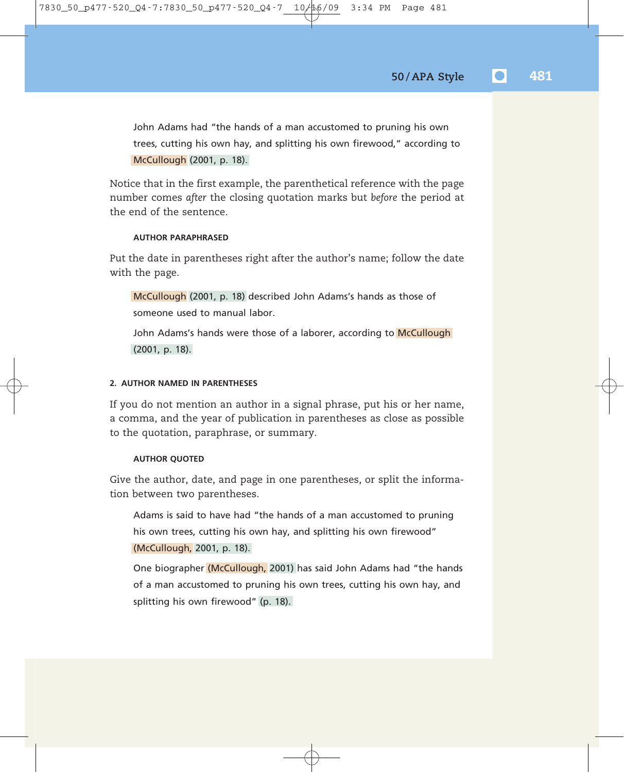John Adams had "the hands of a man accustomed to pruning his own trees, cutting his own hay, and splitting his own firewood," according to McCullough (2001, p. 18).

Notice that in the first example, the parenthetical reference with the page number comes *after* the closing quotation marks but *before* the period at the end of the sentence.

#### **AUTHOR PARAPHRASED**

Put the date in parentheses right after the author's name; follow the date with the page.

McCullough (2001, p. 18) described John Adams's hands as those of someone used to manual labor.

John Adams's hands were those of a laborer, according to McCullough (2001, p. 18).

#### **2. AUTHOR NAMED IN PARENTHESES**

If you do not mention an author in a signal phrase, put his or her name, a comma, and the year of publication in parentheses as close as possible to the quotation, paraphrase, or summary.

#### **AUTHOR QUOTED**

Give the author, date, and page in one parentheses, or split the information between two parentheses.

Adams is said to have had "the hands of a man accustomed to pruning his own trees, cutting his own hay, and splitting his own firewood" (McCullough, 2001, p. 18).

One biographer (McCullough, 2001) has said John Adams had "the hands of a man accustomed to pruning his own trees, cutting his own hay, and splitting his own firewood" (p. 18).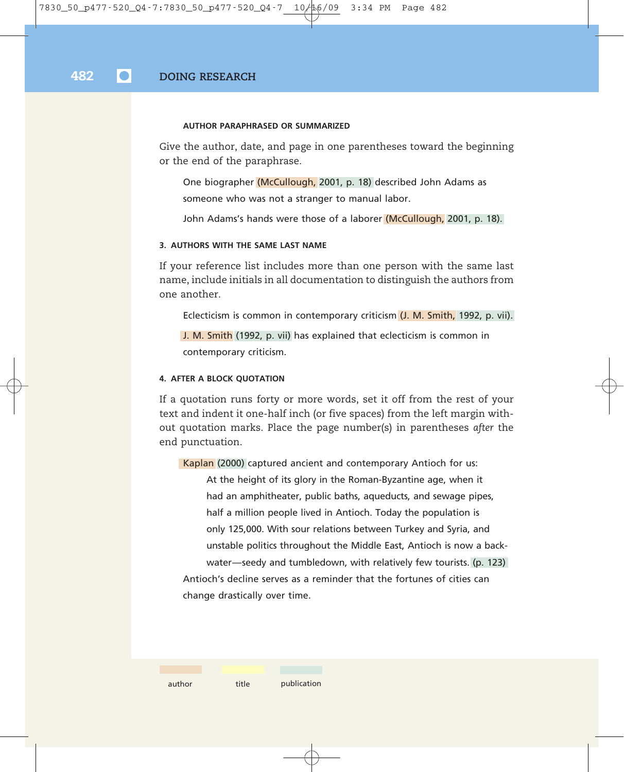#### **AUTHOR PARAPHRASED OR SUMMARIZED**

Give the author, date, and page in one parentheses toward the beginning or the end of the paraphrase.

One biographer (McCullough, 2001, p. 18) described John Adams as someone who was not a stranger to manual labor.

John Adams's hands were those of a laborer (McCullough, 2001, p. 18).

#### **3. AUTHORS WITH THE SAME LAST NAME**

If your reference list includes more than one person with the same last name, include initials in all documentation to distinguish the authors from one another.

Eclecticism is common in contemporary criticism (J. M. Smith, 1992, p. vii).

J. M. Smith (1992, p. vii) has explained that eclecticism is common in contemporary criticism.

#### **4. AFTER A BLOCK QUOTATION**

If a quotation runs forty or more words, set it off from the rest of your text and indent it one-half inch (or five spaces) from the left margin without quotation marks. Place the page number(s) in parentheses *after* the end punctuation.

Kaplan (2000) captured ancient and contemporary Antioch for us: At the height of its glory in the Roman-Byzantine age, when it had an amphitheater, public baths, aqueducts, and sewage pipes, half a million people lived in Antioch. Today the population is only 125,000. With sour relations between Turkey and Syria, and unstable politics throughout the Middle East, Antioch is now a backwater—seedy and tumbledown, with relatively few tourists. (p. 123) Antioch's decline serves as a reminder that the fortunes of cities can change drastically over time.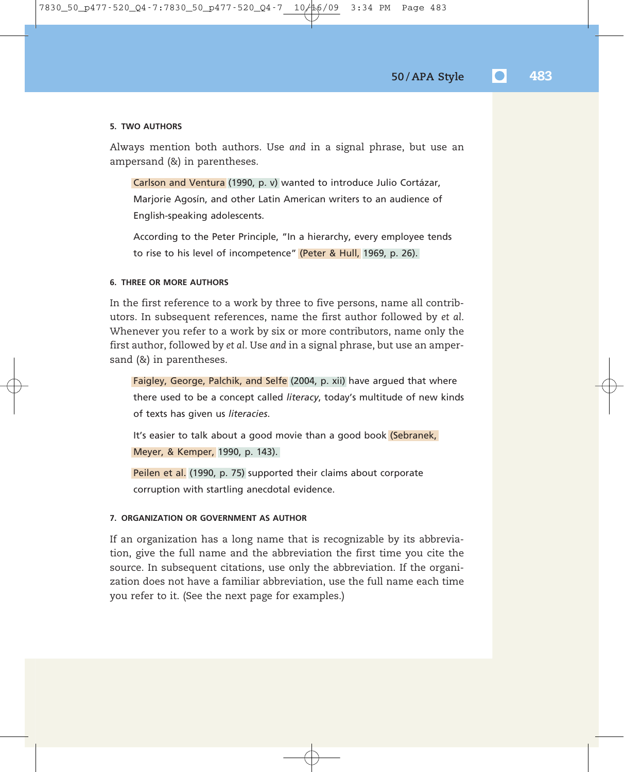#### **5. TWO AUTHORS**

Always mention both authors. Use *and* in a signal phrase, but use an ampersand (&) in parentheses.

Carlson and Ventura (1990, p. v) wanted to introduce Julio Cortázar, Marjorie Agosín, and other Latin American writers to an audience of English-speaking adolescents.

According to the Peter Principle, "In a hierarchy, every employee tends to rise to his level of incompetence" (Peter & Hull, 1969, p. 26).

#### **6. THREE OR MORE AUTHORS**

In the first reference to a work by three to five persons, name all contributors. In subsequent references, name the first author followed by *et al*. Whenever you refer to a work by six or more contributors, name only the first author, followed by *et al*. Use *and* in a signal phrase, but use an ampersand (&) in parentheses.

Faigley, George, Palchik, and Selfe (2004, p. xii) have argued that where there used to be a concept called *literacy*, today's multitude of new kinds of texts has given us *literacies*.

It's easier to talk about a good movie than a good book (Sebranek, Meyer, & Kemper, 1990, p. 143).

Peilen et al. (1990, p. 75) supported their claims about corporate corruption with startling anecdotal evidence.

#### **7. ORGANIZATION OR GOVERNMENT AS AUTHOR**

If an organization has a long name that is recognizable by its abbreviation, give the full name and the abbreviation the first time you cite the source. In subsequent citations, use only the abbreviation. If the organization does not have a familiar abbreviation, use the full name each time you refer to it. (See the next page for examples.)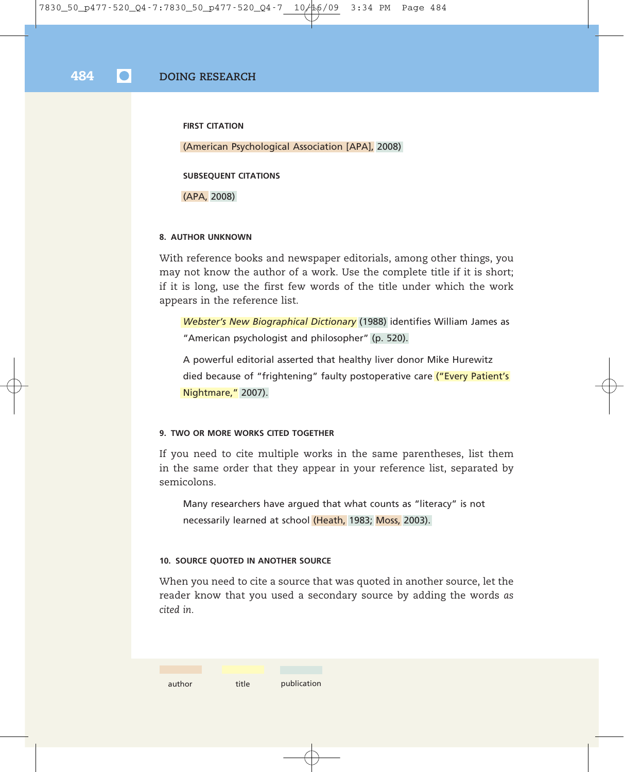**FIRST CITATION**

(American Psychological Association [APA], 2008)

**SUBSEQUENT CITATIONS**

(APA, 2008)

#### **8. AUTHOR UNKNOWN**

With reference books and newspaper editorials, among other things, you may not know the author of a work. Use the complete title if it is short; if it is long, use the first few words of the title under which the work appears in the reference list.

*Webster's New Biographical Dictionary* (1988) identifies William James as "American psychologist and philosopher" (p. 520).

A powerful editorial asserted that healthy liver donor Mike Hurewitz died because of "frightening" faulty postoperative care ("Every Patient's Nightmare," 2007).

#### **9. TWO OR MORE WORKS CITED TOGETHER**

If you need to cite multiple works in the same parentheses, list them in the same order that they appear in your reference list, separated by semicolons.

Many researchers have argued that what counts as "literacy" is not necessarily learned at school (Heath, 1983; Moss, 2003).

#### **10. SOURCE QUOTED IN ANOTHER SOURCE**

When you need to cite a source that was quoted in another source, let the reader know that you used a secondary source by adding the words *as cited in.*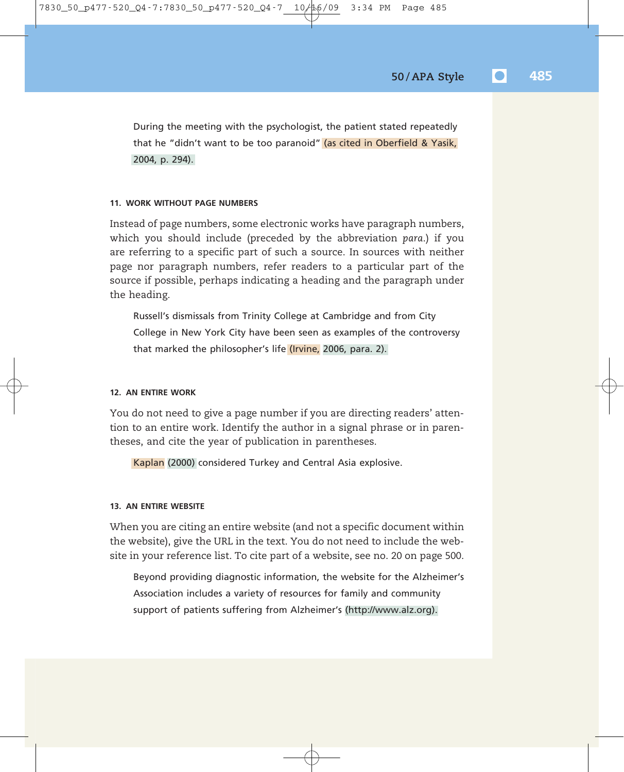During the meeting with the psychologist, the patient stated repeatedly that he "didn't want to be too paranoid" (as cited in Oberfield & Yasik, 2004, p. 294).

#### **11. WORK WITHOUT PAGE NUMBERS**

Instead of page numbers, some electronic works have paragraph numbers, which you should include (preceded by the abbreviation *para*.) if you are referring to a specific part of such a source. In sources with neither page nor paragraph numbers, refer readers to a particular part of the source if possible, perhaps indicating a heading and the paragraph under the heading.

Russell's dismissals from Trinity College at Cambridge and from City College in New York City have been seen as examples of the controversy that marked the philosopher's life (Irvine, 2006, para. 2).

### **12. AN ENTIRE WORK**

You do not need to give a page number if you are directing readers' attention to an entire work. Identify the author in a signal phrase or in parentheses, and cite the year of publication in parentheses.

Kaplan (2000) considered Turkey and Central Asia explosive.

### **13. AN ENTIRE WEBSITE**

When you are citing an entire website (and not a specific document within the website), give the URL in the text. You do not need to include the website in your reference list. To cite part of a website, see no. 20 on page 500.

Beyond providing diagnostic information, the website for the Alzheimer's Association includes a variety of resources for family and community support of patients suffering from Alzheimer's (http://www.alz.org).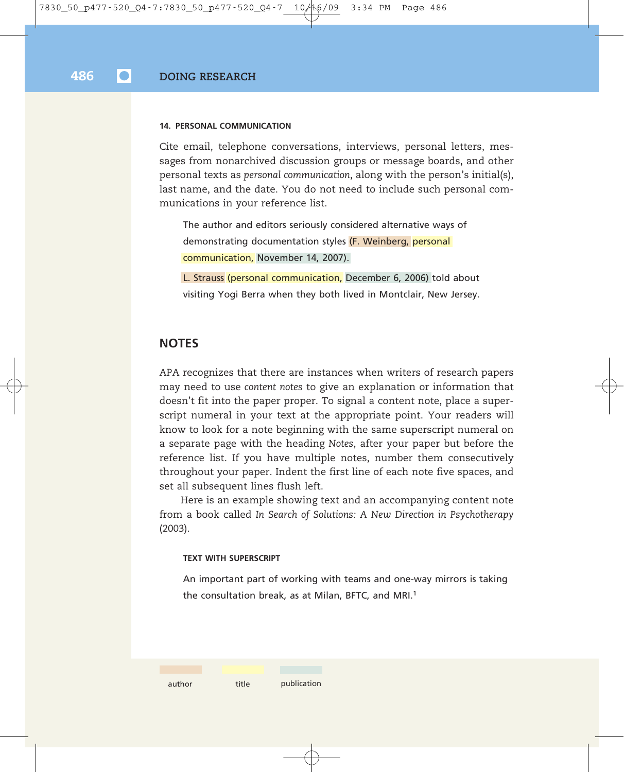#### **14. PERSONAL COMMUNICATION**

Cite email, telephone conversations, interviews, personal letters, messages from nonarchived discussion groups or message boards, and other personal texts as *personal communication*, along with the person's initial(s), last name, and the date. You do not need to include such personal communications in your reference list.

The author and editors seriously considered alternative ways of demonstrating documentation styles (F. Weinberg, personal communication, November 14, 2007).

L. Strauss (personal communication, December 6, 2006) told about visiting Yogi Berra when they both lived in Montclair, New Jersey.

## **NOTES**

APA recognizes that there are instances when writers of research papers may need to use *content notes* to give an explanation or information that doesn't fit into the paper proper. To signal a content note, place a superscript numeral in your text at the appropriate point. Your readers will know to look for a note beginning with the same superscript numeral on a separate page with the heading *Notes*, after your paper but before the reference list. If you have multiple notes, number them consecutively throughout your paper. Indent the first line of each note five spaces, and set all subsequent lines flush left.

Here is an example showing text and an accompanying content note from a book called *In Search of Solutions: A New Direction in Psychotherapy* (2003).

#### **TEXT WITH SUPERSCRIPT**

An important part of working with teams and one-way mirrors is taking the consultation break, as at Milan, BFTC, and MRI.<sup>1</sup>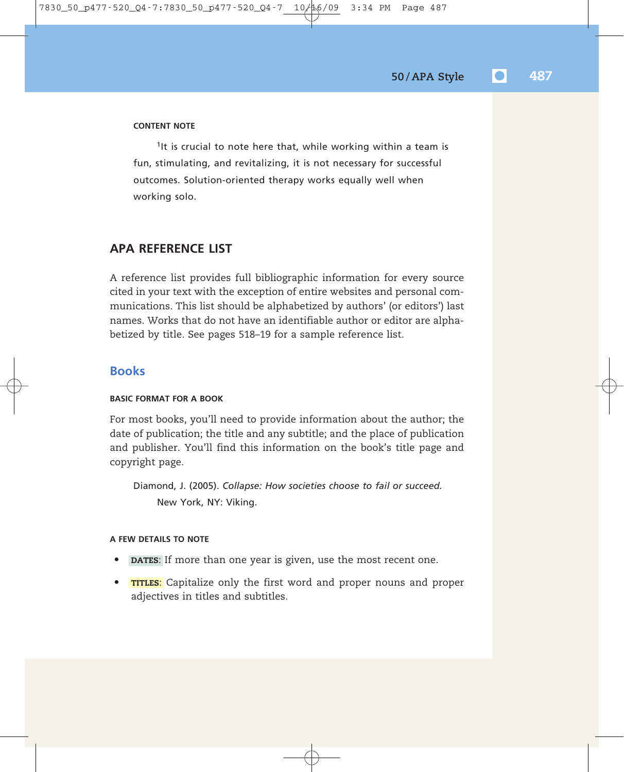#### **CONTENT NOTE**

<sup>1</sup>It is crucial to note here that, while working within a team is fun, stimulating, and revitalizing, it is not necessary for successful outcomes. Solution-oriented therapy works equally well when working solo.

## **APA REFERENCE LIST**

A reference list provides full bibliographic information for every source cited in your text with the exception of entire websites and personal communications. This list should be alphabetized by authors' (or editors') last names. Works that do not have an identifiable author or editor are alphabetized by title. See pages 518–19 for a sample reference list.

## **Books**

### **BASIC FORMAT FOR A BOOK**

For most books, you'll need to provide information about the author; the date of publication; the title and any subtitle; and the place of publication and publisher. You'll find this information on the book's title page and copyright page.

Diamond, J. (2005). *Collapse: How societies choose to fail or succeed.* New York, NY: Viking.

#### **A FEW DETAILS TO NOTE**

- **DATES**: If more than one year is given, use the most recent one.
- **TITLES**: Capitalize only the first word and proper nouns and proper adjectives in titles and subtitles.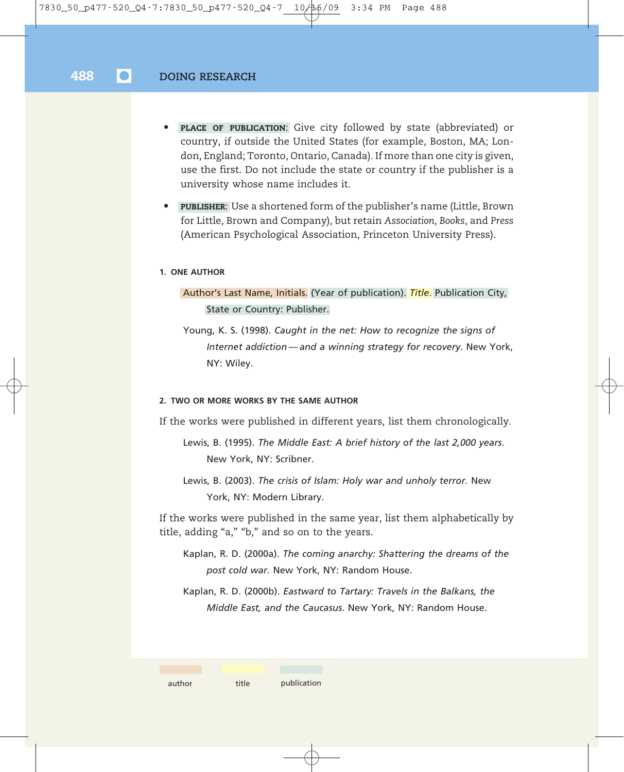## **488 DOING RESEARCH**

- **PLACE OF PUBLICATION**: Give city followed by state (abbreviated) or country, if outside the United States (for example, Boston, MA; London, England; Toronto, Ontario, Canada). If more than one city is given, use the first. Do not include the state or country if the publisher is a university whose name includes it.
- **PUBLISHER**: Use a shortened form of the publisher's name (Little, Brown for Little, Brown and Company), but retain *Association*, *Books*, and *Press* (American Psychological Association, Princeton University Press).

#### **1. ONE AUTHOR**

Author's Last Name, Initials. (Year of publication). *Title*. Publication City, State or Country: Publisher.

Young, K. S. (1998). *Caught in the net: How to recognize the signs of Internet addiction —and a winning strategy for recovery*. New York, NY: Wiley.

#### **2. TWO OR MORE WORKS BY THE SAME AUTHOR**

If the works were published in different years, list them chronologically.

- Lewis, B. (1995). *The Middle East: A brief history of the last 2,000 years*. New York, NY: Scribner.
- Lewis, B. (2003). *The crisis of Islam: Holy war and unholy terror.* New York, NY: Modern Library.

If the works were published in the same year, list them alphabetically by title, adding "a," "b," and so on to the years.

Kaplan, R. D. (2000a). *The coming anarchy: Shattering the dreams of the post cold war.* New York, NY: Random House.

Kaplan, R. D. (2000b). *Eastward to Tartary: Travels in the Balkans, the Middle East, and the Caucasus*. New York, NY: Random House.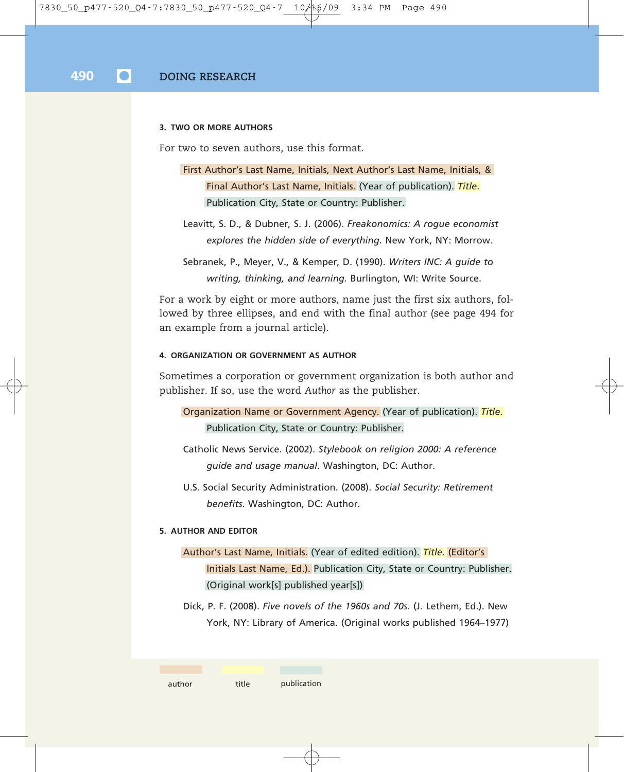#### **3. TWO OR MORE AUTHORS**

For two to seven authors, use this format.

- First Author's Last Name, Initials, Next Author's Last Name, Initials, & Final Author's Last Name, Initials. (Year of publication). *Title*. Publication City, State or Country: Publisher.
- Leavitt, S. D., & Dubner, S. J. (2006). *Freakonomics: A rogue economist explores the hidden side of everything.* New York, NY: Morrow.
- Sebranek, P., Meyer, V., & Kemper, D. (1990). *Writers INC: A guide to writing, thinking, and learning.* Burlington, WI: Write Source.

For a work by eight or more authors, name just the first six authors, followed by three ellipses, and end with the final author (see page 494 for an example from a journal article).

#### **4. ORGANIZATION OR GOVERNMENT AS AUTHOR**

Sometimes a corporation or government organization is both author and publisher. If so, use the word *Author* as the publisher.

```
Organization Name or Government Agency. (Year of publication). Title.
Publication City, State or Country: Publisher.
```
- Catholic News Service. (2002). *Stylebook on religion 2000: A reference guide and usage manual*. Washington, DC: Author.
- U.S. Social Security Administration. (2008). *Social Security: Retirement benefits*. Washington, DC: Author.

#### **5. AUTHOR AND EDITOR**

## Author's Last Name, Initials. (Year of edited edition). *Title.* (Editor's Initials Last Name, Ed.). Publication City, State or Country: Publisher. (Original work[s] published year[s])

Dick, P. F. (2008). *Five novels of the 1960s and 70s.* (J. Lethem, Ed.). New York, NY: Library of America. (Original works published 1964–1977)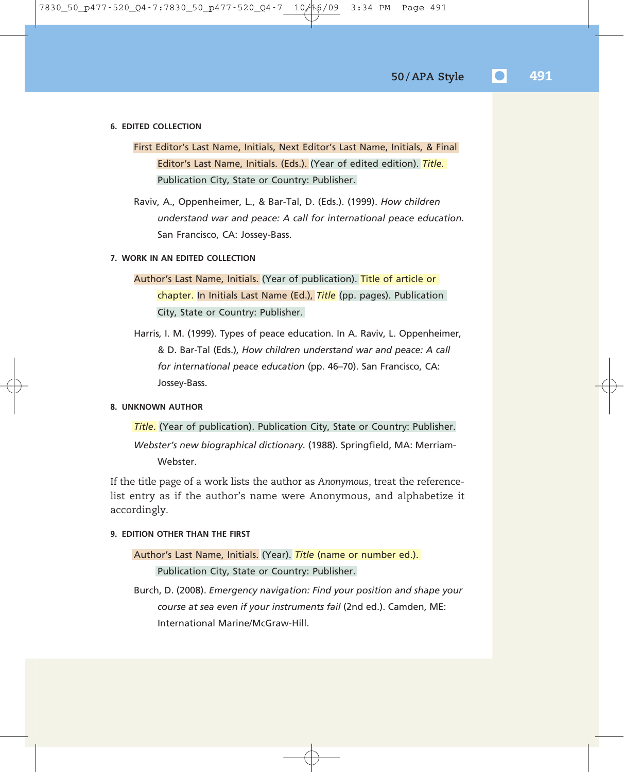#### **6. EDITED COLLECTION**

First Editor's Last Name, Initials, Next Editor's Last Name, Initials, & Final Editor's Last Name, Initials. (Eds.). (Year of edited edition). *Title.* Publication City, State or Country: Publisher.

Raviv, A., Oppenheimer, L., & Bar-Tal, D. (Eds.). (1999). *How children understand war and peace: A call for international peace education.* San Francisco, CA: Jossey-Bass.

#### **7. WORK IN AN EDITED COLLECTION**

- Author's Last Name, Initials. (Year of publication). Title of article or chapter. In Initials Last Name (Ed.), *Title* (pp. pages). Publication City, State or Country: Publisher.
- Harris, I. M. (1999). Types of peace education. In A. Raviv, L. Oppenheimer, & D. Bar-Tal (Eds.), *How children understand war and peace: A call for international peace education* (pp. 46–70). San Francisco, CA: Jossey-Bass.

#### **8. UNKNOWN AUTHOR**

*Title*. (Year of publication). Publication City, State or Country: Publisher. *Webster's new biographical dictionary.* (1988). Springfield, MA: Merriam-Webster.

If the title page of a work lists the author as *Anonymous*, treat the referencelist entry as if the author's name were Anonymous, and alphabetize it accordingly.

#### **9. EDITION OTHER THAN THE FIRST**

Author's Last Name, Initials. (Year). *Title* (name or number ed.). Publication City, State or Country: Publisher.

Burch, D. (2008). *Emergency navigation: Find your position and shape your course at sea even if your instruments fail* (2nd ed.). Camden, ME: International Marine/McGraw-Hill.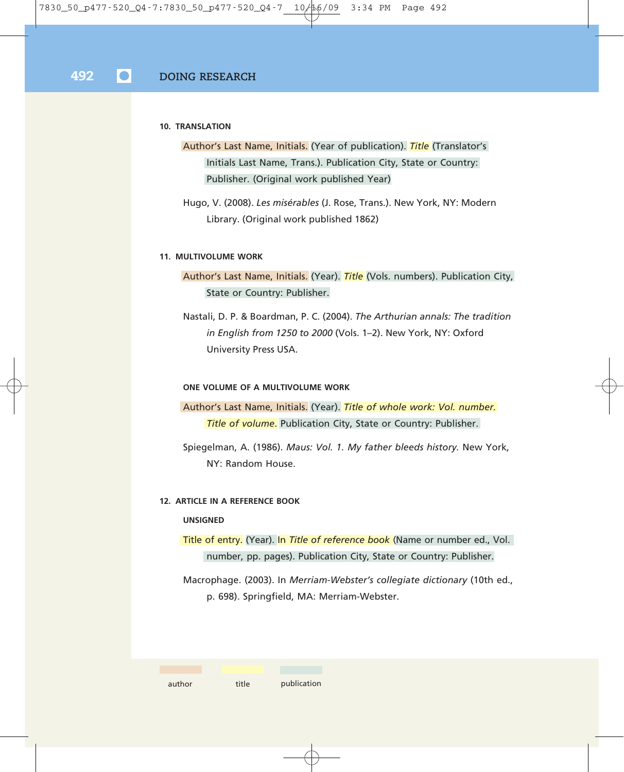## **492 DOING RESEARCH**

#### **10. TRANSLATION**

Author's Last Name, Initials. (Year of publication). *Title* (Translator's Initials Last Name, Trans.). Publication City, State or Country: Publisher. (Original work published Year)

Hugo, V. (2008). *Les misérables* (J. Rose, Trans.). New York, NY: Modern Library. (Original work published 1862)

#### **11. MULTIVOLUME WORK**

Author's Last Name, Initials. (Year). *Title* (Vols. numbers). Publication City, State or Country: Publisher.

Nastali, D. P. & Boardman, P. C. (2004). *The Arthurian annals: The tradition in English from 1250 to 2000* (Vols. 1–2). New York, NY: Oxford University Press USA.

#### **ONE VOLUME OF A MULTIVOLUME WORK**

Author's Last Name, Initials. (Year). *Title of whole work: Vol. number. Title of volume*. Publication City, State or Country: Publisher.

Spiegelman, A. (1986). *Maus: Vol. 1. My father bleeds history.* New York, NY: Random House.

#### **12. ARTICLE IN A REFERENCE BOOK**

#### **UNSIGNED**

Title of entry. (Year). In *Title of reference book* (Name or number ed., Vol. number, pp. pages). Publication City, State or Country: Publisher.

Macrophage. (2003). In *Merriam-Webster's collegiate dictionary* (10th ed., p. 698). Springfield, MA: Merriam-Webster.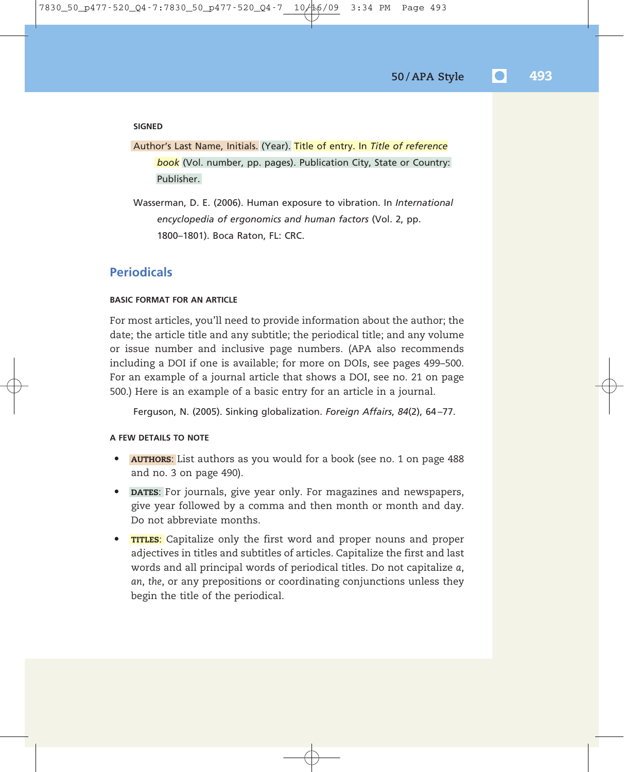**SIGNED**

Author's Last Name, Initials. (Year). Title of entry. In *Title of reference book* (Vol. number, pp. pages). Publication City, State or Country: Publisher.

Wasserman, D. E. (2006). Human exposure to vibration. In *International encyclopedia of ergonomics and human factors* (Vol. 2, pp. 1800–1801). Boca Raton, FL: CRC.

## **Periodicals**

#### **BASIC FORMAT FOR AN ARTICLE**

For most articles, you'll need to provide information about the author; the date; the article title and any subtitle; the periodical title; and any volume or issue number and inclusive page numbers. (APA also recommends including a DOI if one is available; for more on DOIs, see pages 499–500. For an example of a journal article that shows a DOI, see no. 21 on page 500.) Here is an example of a basic entry for an article in a journal.

Ferguson, N. (2005). Sinking globalization. *Foreign Affairs*, *84*(2), 64 –77.

#### **A FEW DETAILS TO NOTE**

- **AUTHORS**: List authors as you would for a book (see no. 1 on page 488 and no. 3 on page 490).
- **DATES**: For journals, give year only. For magazines and newspapers, give year followed by a comma and then month or month and day. Do not abbreviate months.
- **TITLES**: Capitalize only the first word and proper nouns and proper adjectives in titles and subtitles of articles. Capitalize the first and last words and all principal words of periodical titles. Do not capitalize *a*, *an*, *the*, or any prepositions or coordinating conjunctions unless they begin the title of the periodical.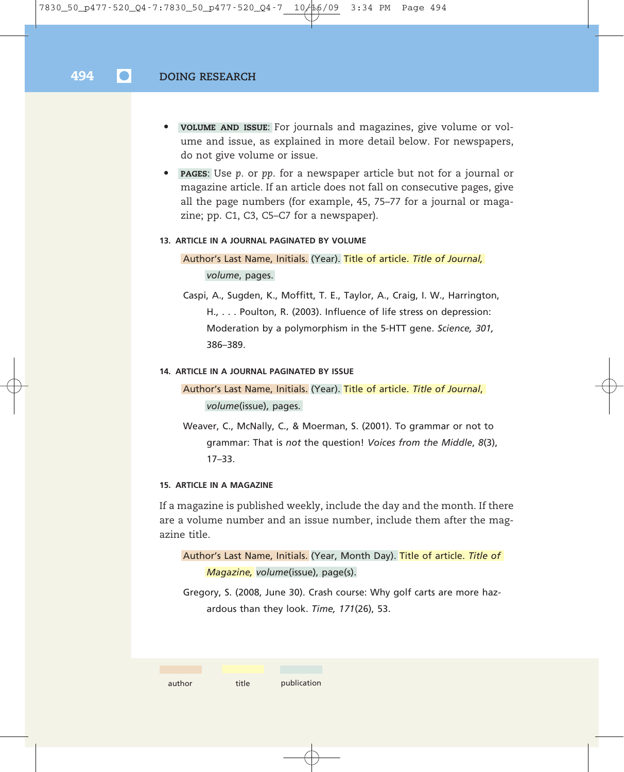- **VOLUME AND ISSUE**: For journals and magazines, give volume or volume and issue, as explained in more detail below. For newspapers, do not give volume or issue.
- **PAGES**: Use *p*. or *pp*. for a newspaper article but not for a journal or magazine article. If an article does not fall on consecutive pages, give all the page numbers (for example, 45, 75–77 for a journal or magazine; pp. C1, C3, C5–C7 for a newspaper).

#### **13. ARTICLE IN A JOURNAL PAGINATED BY VOLUME**

Author's Last Name, Initials. (Year). Title of article. *Title of Journal, volume*, pages.

Caspi, A., Sugden, K., Moffitt, T. E., Taylor, A., Craig, I. W., Harrington, H., . . . Poulton, R. (2003). Influence of life stress on depression: Moderation by a polymorphism in the 5-HTT gene. *Science, 301,* 386–389.

#### **14. ARTICLE IN A JOURNAL PAGINATED BY ISSUE**

Author's Last Name, Initials. (Year). Title of article. *Title of Journal*, *volume*(issue), pages.

Weaver, C., McNally, C., & Moerman, S. (2001). To grammar or not to grammar: That is *not* the question! *Voices from the Middle*, *8*(3), 17–33.

#### **15. ARTICLE IN A MAGAZINE**

If a magazine is published weekly, include the day and the month. If there are a volume number and an issue number, include them after the magazine title.

Author's Last Name, Initials. (Year, Month Day). Title of article. *Title of Magazine, volume*(issue), page(s).

Gregory, S. (2008, June 30). Crash course: Why golf carts are more hazardous than they look. *Time, 171*(26), 53.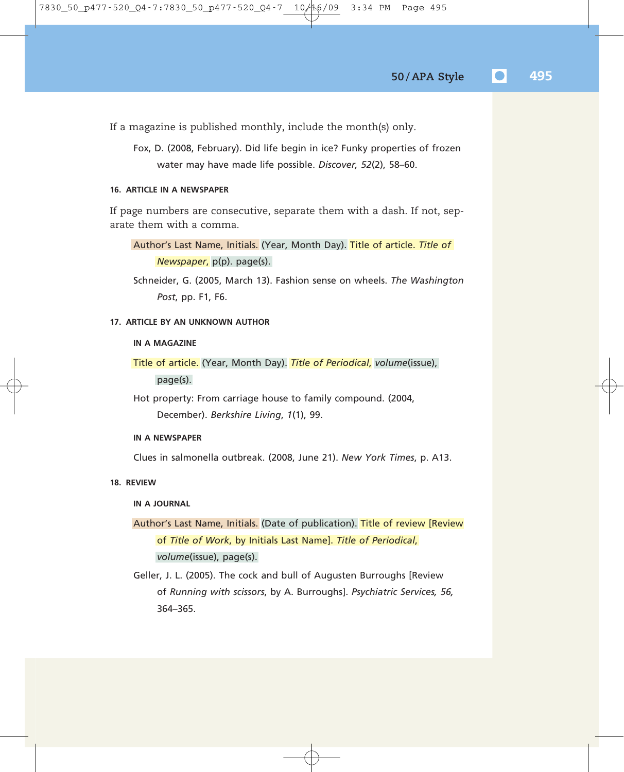If a magazine is published monthly, include the month(s) only.

Fox, D. (2008, February). Did life begin in ice? Funky properties of frozen water may have made life possible. *Discover, 52*(2), 58–60.

#### **16. ARTICLE IN A NEWSPAPER**

If page numbers are consecutive, separate them with a dash. If not, separate them with a comma.

```
Author's Last Name, Initials. (Year, Month Day). Title of article. Title of
 Newspaper, p(p). page(s).
```
Schneider, G. (2005, March 13). Fashion sense on wheels. *The Washington Post*, pp. F1, F6.

#### **17. ARTICLE BY AN UNKNOWN AUTHOR**

#### **IN A MAGAZINE**

Title of article. (Year, Month Day). *Title of Periodical*, *volume*(issue), page(s).

Hot property: From carriage house to family compound. (2004, December). *Berkshire Living*, *1*(1), 99.

#### **IN A NEWSPAPER**

Clues in salmonella outbreak. (2008, June 21). *New York Times*, p. A13.

#### **18. REVIEW**

**IN A JOURNAL**

- Author's Last Name, Initials. (Date of publication). Title of review [Review of *Title of Work*, by Initials Last Name]. *Title of Periodical*, *volume*(issue), page(s).
- Geller, J. L. (2005). The cock and bull of Augusten Burroughs [Review of *Running with scissors*, by A. Burroughs]. *Psychiatric Services, 56,* 364–365.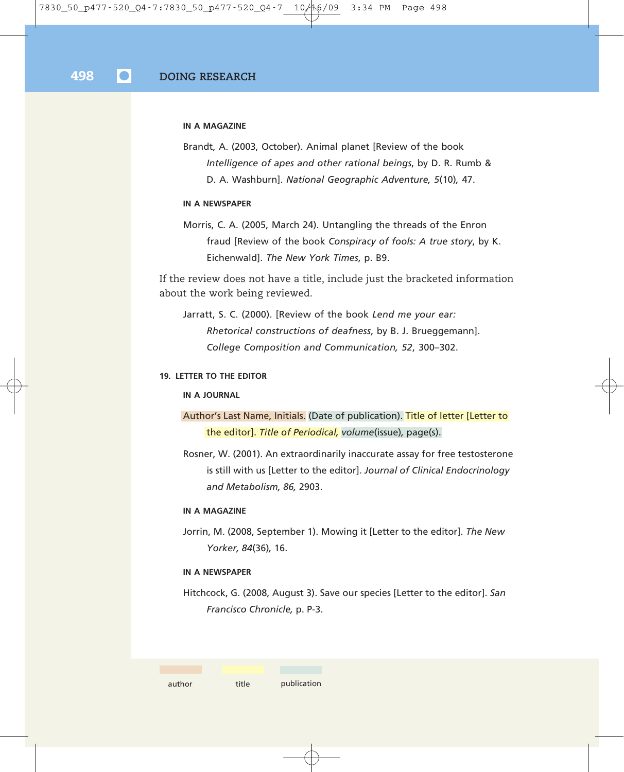#### **IN A MAGAZINE**

Brandt, A. (2003, October). Animal planet [Review of the book *Intelligence of apes and other rational beings*, by D. R. Rumb & D. A. Washburn]. *National Geographic Adventure, 5*(10)*,* 47.

#### **IN A NEWSPAPER**

Morris, C. A. (2005, March 24). Untangling the threads of the Enron fraud [Review of the book *Conspiracy of fools: A true story*, by K. Eichenwald]. *The New York Times*, p. B9.

If the review does not have a title, include just the bracketed information about the work being reviewed.

Jarratt, S. C. (2000). [Review of the book *Lend me your ear: Rhetorical constructions of deafness*, by B. J. Brueggemann]. *College Composition and Communication, 52*, 300–302.

#### **19. LETTER TO THE EDITOR**

#### **IN A JOURNAL**

- Author's Last Name, Initials. (Date of publication). Title of letter [Letter to the editor]. *Title of Periodical, volume*(issue)*,* page(s).
- Rosner, W. (2001). An extraordinarily inaccurate assay for free testosterone is still with us [Letter to the editor]. *Journal of Clinical Endocrinology and Metabolism, 86,* 2903.

#### **IN A MAGAZINE**

Jorrin, M. (2008, September 1). Mowing it [Letter to the editor]. *The New Yorker, 84*(36)*,* 16.

#### **IN A NEWSPAPER**

Hitchcock, G. (2008, August 3). Save our species [Letter to the editor]. *San Francisco Chronicle,* p. P-3.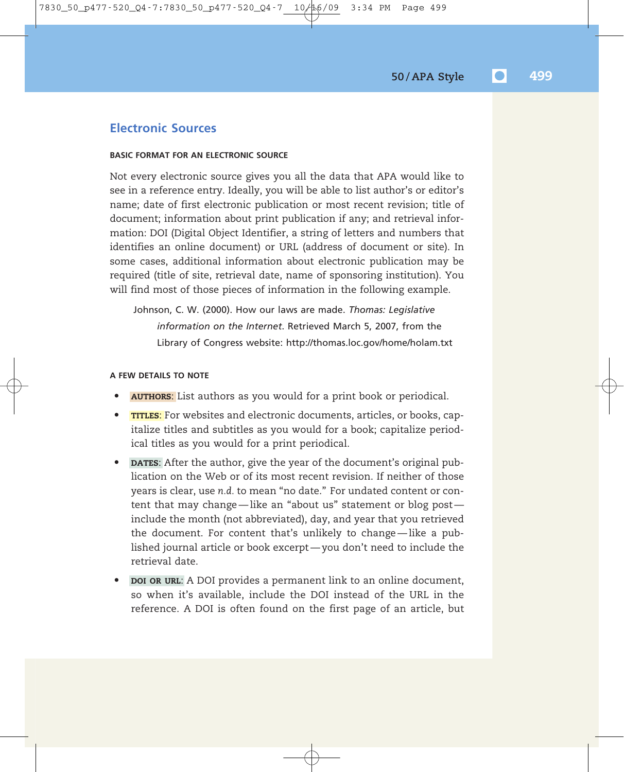## **Electronic Sources**

#### **BASIC FORMAT FOR AN ELECTRONIC SOURCE**

Not every electronic source gives you all the data that APA would like to see in a reference entry. Ideally, you will be able to list author's or editor's name; date of first electronic publication or most recent revision; title of document; information about print publication if any; and retrieval information: DOI (Digital Object Identifier, a string of letters and numbers that identifies an online document) or URL (address of document or site). In some cases, additional information about electronic publication may be required (title of site, retrieval date, name of sponsoring institution). You will find most of those pieces of information in the following example.

Johnson, C. W. (2000). How our laws are made. *Thomas: Legislative information on the Internet*. Retrieved March 5, 2007, from the Library of Congress website: http://thomas.loc.gov/home/holam.txt

#### **A FEW DETAILS TO NOTE**

- **AUTHORS**: List authors as you would for a print book or periodical.
- **TITLES**: For websites and electronic documents, articles, or books, capitalize titles and subtitles as you would for a book; capitalize periodical titles as you would for a print periodical.
- **DATES**: After the author, give the year of the document's original publication on the Web or of its most recent revision. If neither of those years is clear, use *n.d.* to mean "no date." For undated content or content that may change —like an "about us" statement or blog post include the month (not abbreviated), day, and year that you retrieved the document. For content that's unlikely to change —like a published journal article or book excerpt —you don't need to include the retrieval date.
- **DOI OR URL**: A DOI provides a permanent link to an online document, so when it's available, include the DOI instead of the URL in the reference. A DOI is often found on the first page of an article, but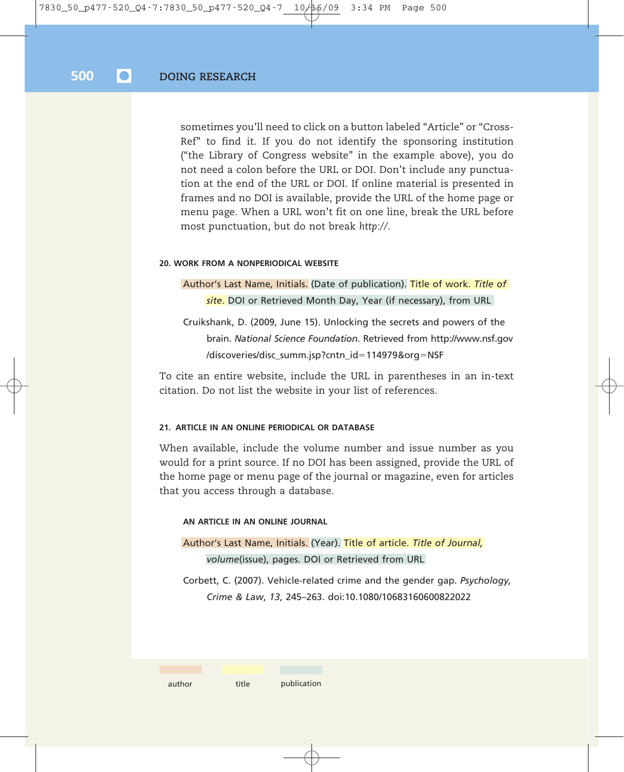sometimes you'll need to click on a button labeled "Article" or "Cross-Ref" to find it. If you do not identify the sponsoring institution ("the Library of Congress website" in the example above), you do not need a colon before the URL or DOI. Don't include any punctuation at the end of the URL or DOI. If online material is presented in frames and no DOI is available, provide the URL of the home page or menu page. When a URL won't fit on one line, break the URL before most punctuation, but do not break *http://*.

#### **20. WORK FROM A NONPERIODICAL WEBSITE**

- Author's Last Name, Initials. (Date of publication). Title of work. *Title of site*. DOI or Retrieved Month Day, Year (if necessary), from URL
- Cruikshank, D. (2009, June 15). Unlocking the secrets and powers of the brain. *National Science Foundation*. Retrieved from http://www.nsf.gov /discoveries/disc\_summ.jsp?cntn\_id=114979&org=NSF

To cite an entire website, include the URL in parentheses in an in-text citation. Do not list the website in your list of references.

#### **21. ARTICLE IN AN ONLINE PERIODICAL OR DATABASE**

When available, include the volume number and issue number as you would for a print source. If no DOI has been assigned, provide the URL of the home page or menu page of the journal or magazine, even for articles that you access through a database.

#### **AN ARTICLE IN AN ONLINE JOURNAL**

Author's Last Name, Initials. (Year). Title of article. *Title of Journal, volume*(issue), pages. DOI or Retrieved from URL

Corbett, C. (2007). Vehicle-related crime and the gender gap. *Psychology, Crime & Law*, *13*, 245–263. doi:10.1080/10683160600822022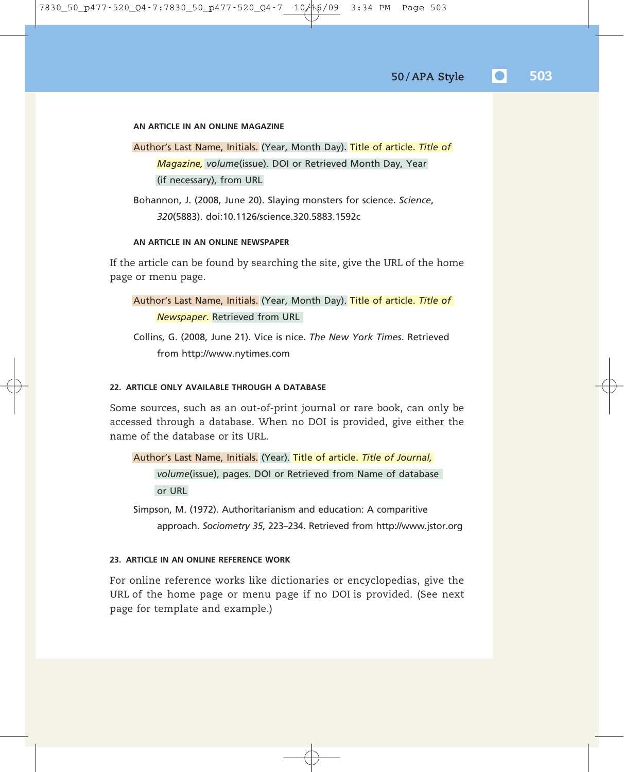#### **AN ARTICLE IN AN ONLINE MAGAZINE**

Author's Last Name, Initials. (Year, Month Day). Title of article. *Title of Magazine, volume*(issue)*.* DOI or Retrieved Month Day, Year (if necessary), from URL

Bohannon, J. (2008, June 20). Slaying monsters for science. *Science*, *320*(5883). doi:10.1126/science.320.5883.1592c

#### **AN ARTICLE IN AN ONLINE NEWSPAPER**

If the article can be found by searching the site, give the URL of the home page or menu page.

## Author's Last Name, Initials. (Year, Month Day). Title of article. *Title of Newspaper*. Retrieved from URL

Collins, G. (2008, June 21). Vice is nice. *The New York Times*. Retrieved from http://www.nytimes.com

#### **22. ARTICLE ONLY AVAILABLE THROUGH A DATABASE**

Some sources, such as an out-of-print journal or rare book, can only be accessed through a database. When no DOI is provided, give either the name of the database or its URL.

```
Author's Last Name, Initials. (Year). Title of article. Title of Journal,
```
*volume*(issue), pages. DOI or Retrieved from Name of database or URL

Simpson, M. (1972). Authoritarianism and education: A comparitive approach. *Sociometry 35*, 223–234. Retrieved from http://www.jstor.org

#### **23. ARTICLE IN AN ONLINE REFERENCE WORK**

For online reference works like dictionaries or encyclopedias, give the URL of the home page or menu page if no DOI is provided. (See next page for template and example.)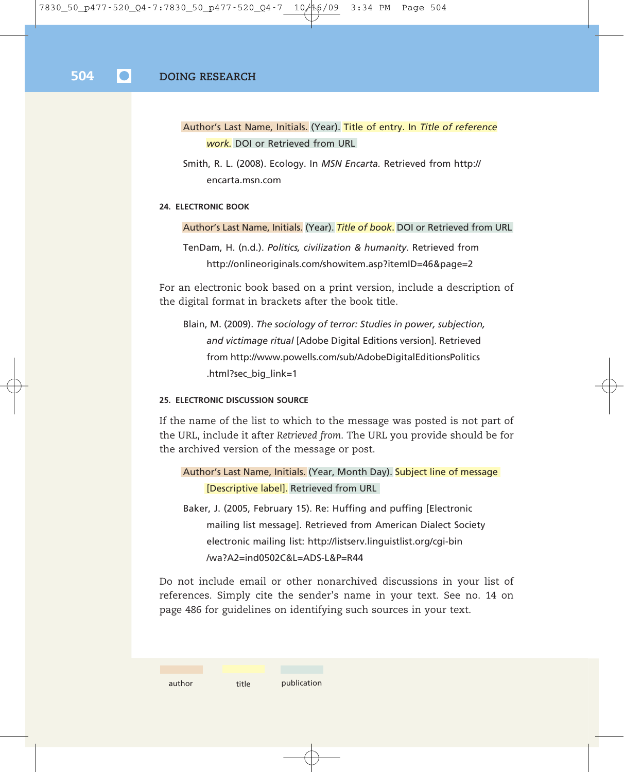```
Author's Last Name, Initials. (Year). Title of entry. In Title of reference
 work. DOI or Retrieved from URL
```
Smith, R. L. (2008). Ecology. In *MSN Encarta.* Retrieved from http:// encarta.msn.com

#### **24. ELECTRONIC BOOK**

Author's Last Name, Initials. (Year). *Title of book*. DOI or Retrieved from URL

TenDam, H. (n.d.). *Politics, civilization & humanity*. Retrieved from http://onlineoriginals.com/showitem.asp?itemID=46&page=2

For an electronic book based on a print version, include a description of the digital format in brackets after the book title.

Blain, M. (2009). *The sociology of terror: Studies in power, subjection, and victimage ritual* [Adobe Digital Editions version]. Retrieved from http://www.powells.com/sub/AdobeDigitalEditionsPolitics .html?sec\_big\_link=1

#### **25. ELECTRONIC DISCUSSION SOURCE**

If the name of the list to which to the message was posted is not part of the URL, include it after *Retrieved from*. The URL you provide should be for the archived version of the message or post.

Author's Last Name, Initials. (Year, Month Day). Subject line of message [Descriptive label]. Retrieved from URL

Baker, J. (2005, February 15). Re: Huffing and puffing [Electronic mailing list message]. Retrieved from American Dialect Society electronic mailing list: http://listserv.linguistlist.org/cgi-bin /wa?A2=ind0502C&L=ADS-L&P=R44

Do not include email or other nonarchived discussions in your list of references. Simply cite the sender's name in your text. See no. 14 on page 486 for guidelines on identifying such sources in your text.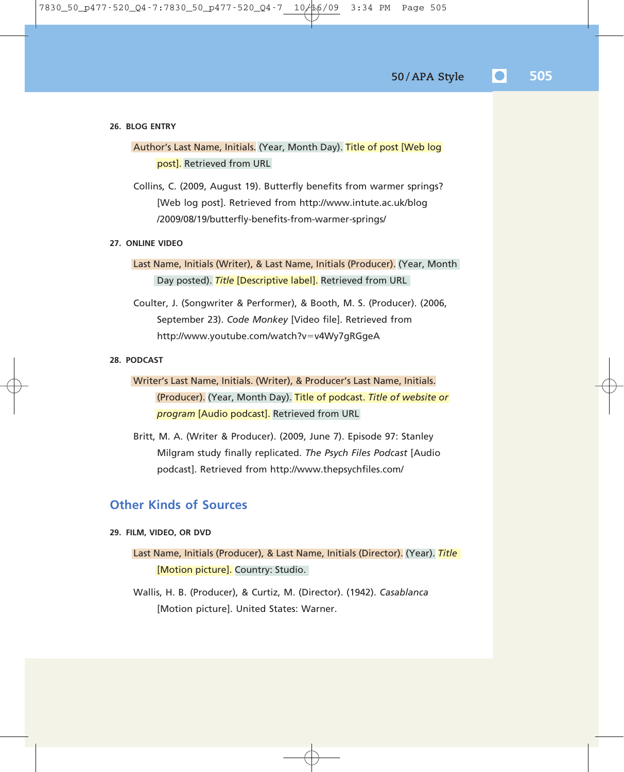#### **26. BLOG ENTRY**

Author's Last Name, Initials. (Year, Month Day). Title of post [Web log post]. Retrieved from URL

Collins, C. (2009, August 19). Butterfly benefits from warmer springs? [Web log post]. Retrieved from http://www.intute.ac.uk/blog /2009/08/19/butterfly-benefits-from-warmer-springs/

#### **27. ONLINE VIDEO**

Last Name, Initials (Writer), & Last Name, Initials (Producer). (Year, Month Day posted). *Title* [Descriptive label]. Retrieved from URL

Coulter, J. (Songwriter & Performer), & Booth, M. S. (Producer). (2006, September 23). *Code Monkey* [Video file]. Retrieved from http://www.youtube.com/watch?v=v4Wy7gRGgeA

#### **28. PODCAST**

- Writer's Last Name, Initials. (Writer), & Producer's Last Name, Initials. (Producer). (Year, Month Day). Title of podcast. *Title of website or program* [Audio podcast]. Retrieved from URL
- Britt, M. A. (Writer & Producer). (2009, June 7). Episode 97: Stanley Milgram study finally replicated. *The Psych Files Podcast* [Audio podcast]. Retrieved from http://www.thepsychfiles.com/

## **Other Kinds of Sources**

#### **29. FILM, VIDEO, OR DVD**

- Last Name, Initials (Producer), & Last Name, Initials (Director). (Year). *Title* [Motion picture]. Country: Studio.
- Wallis, H. B. (Producer), & Curtiz, M. (Director). (1942). *Casablanca* [Motion picture]. United States: Warner.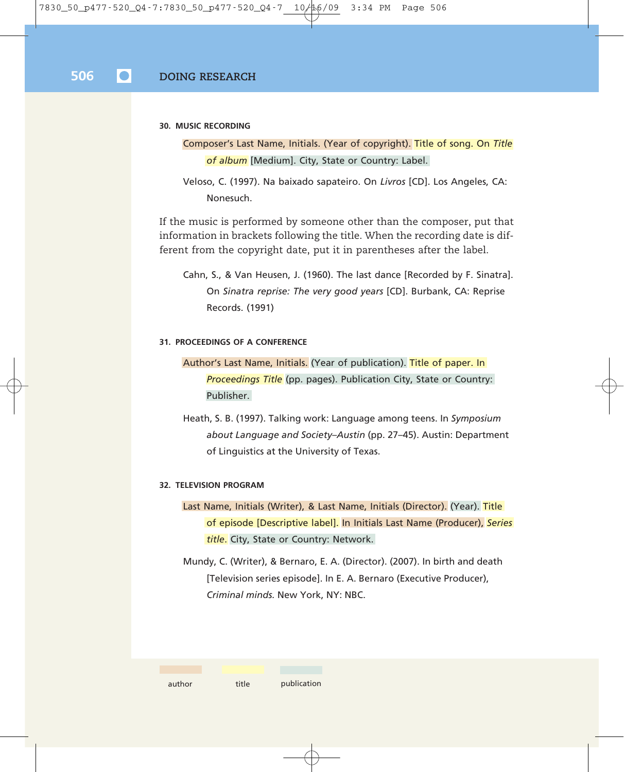#### **30. MUSIC RECORDING**

- Composer's Last Name, Initials. (Year of copyright). Title of song. On *Title of album* [Medium]. City, State or Country: Label.
- Veloso, C. (1997). Na baixado sapateiro. On *Livros* [CD]. Los Angeles, CA: Nonesuch.

If the music is performed by someone other than the composer, put that information in brackets following the title. When the recording date is different from the copyright date, put it in parentheses after the label.

Cahn, S., & Van Heusen, J. (1960). The last dance [Recorded by F. Sinatra]. On *Sinatra reprise: The very good years* [CD]. Burbank, CA: Reprise Records. (1991)

#### **31. PROCEEDINGS OF A CONFERENCE**

Author's Last Name, Initials. (Year of publication). Title of paper. In *Proceedings Title* (pp. pages). Publication City, State or Country: Publisher.

Heath, S. B. (1997). Talking work: Language among teens. In *Symposium about Language and Society–Austin* (pp. 27–45). Austin: Department of Linguistics at the University of Texas.

#### **32. TELEVISION PROGRAM**

- Last Name, Initials (Writer), & Last Name, Initials (Director). (Year). Title of episode [Descriptive label]. In Initials Last Name (Producer), *Series title*. City, State or Country: Network.
- Mundy, C. (Writer), & Bernaro, E. A. (Director). (2007). In birth and death [Television series episode]. In E. A. Bernaro (Executive Producer), *Criminal minds.* New York, NY: NBC.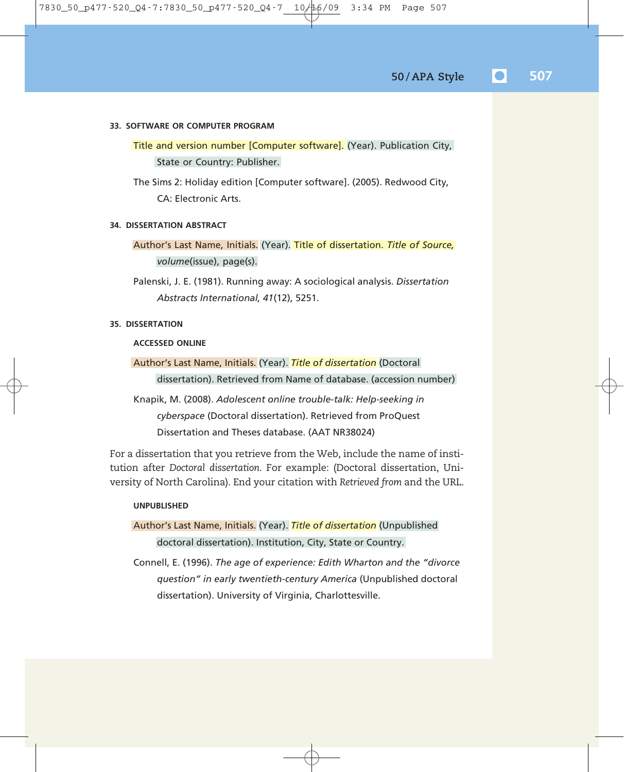#### **33. SOFTWARE OR COMPUTER PROGRAM**

Title and version number [Computer software]. (Year). Publication City, State or Country: Publisher.

The Sims 2: Holiday edition [Computer software]. (2005). Redwood City, CA: Electronic Arts.

#### **34. DISSERTATION ABSTRACT**

Author's Last Name, Initials. (Year). Title of dissertation. *Title of Source, volume*(issue), page(s).

Palenski, J. E. (1981). Running away: A sociological analysis. *Dissertation Abstracts International, 41*(12), 5251.

#### **35. DISSERTATION**

#### **ACCESSED ONLINE**

Author's Last Name, Initials. (Year). *Title of dissertation* (Doctoral dissertation). Retrieved from Name of database. (accession number)

Knapik, M. (2008). *Adolescent online trouble-talk: Help-seeking in cyberspace* (Doctoral dissertation). Retrieved from ProQuest Dissertation and Theses database. (AAT NR38024)

For a dissertation that you retrieve from the Web, include the name of institution after *Doctoral dissertation*. For example: (Doctoral dissertation, University of North Carolina). End your citation with *Retrieved from* and the URL.

#### **UNPUBLISHED**

- Author's Last Name, Initials. (Year). *Title of dissertation* (Unpublished doctoral dissertation). Institution, City, State or Country.
- Connell, E. (1996). *The age of experience: Edith Wharton and the "divorce question" in early twentieth-century America* (Unpublished doctoral dissertation). University of Virginia, Charlottesville.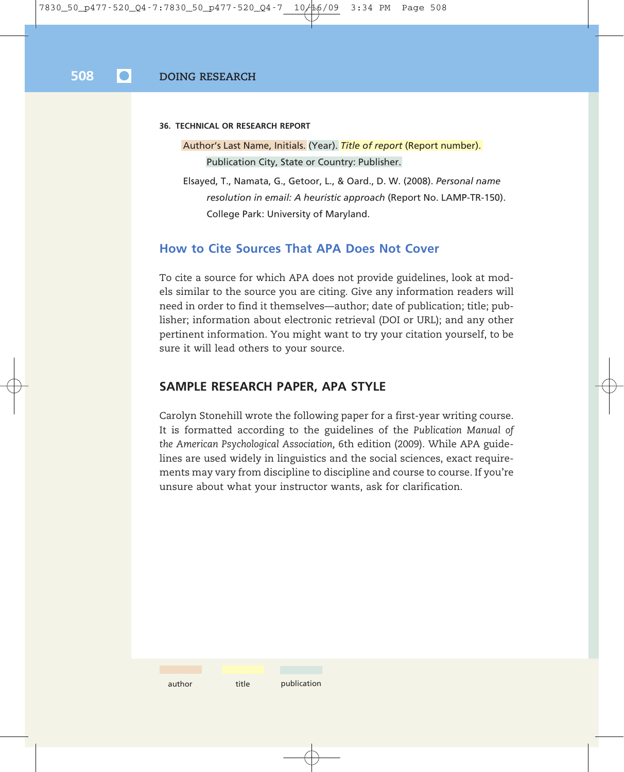#### **36. TECHNICAL OR RESEARCH REPORT**

Author's Last Name, Initials. (Year). *Title of report* (Report number). Publication City, State or Country: Publisher.

Elsayed, T., Namata, G., Getoor, L., & Oard., D. W. (2008). *Personal name resolution in email: A heuristic approach* (Report No. LAMP-TR-150). College Park: University of Maryland.

## **How to Cite Sources That APA Does Not Cover**

To cite a source for which APA does not provide guidelines, look at models similar to the source you are citing. Give any information readers will need in order to find it themselves—author; date of publication; title; publisher; information about electronic retrieval (DOI or URL); and any other pertinent information. You might want to try your citation yourself, to be sure it will lead others to your source.

## **SAMPLE RESEARCH PAPER, APA STYLE**

Carolyn Stonehill wrote the following paper for a first-year writing course. It is formatted according to the guidelines of the *Publication Manual of the American Psychological Association,* 6th edition (2009). While APA guidelines are used widely in linguistics and the social sciences, exact requirements may vary from discipline to discipline and course to course. If you're unsure about what your instructor wants, ask for clarification.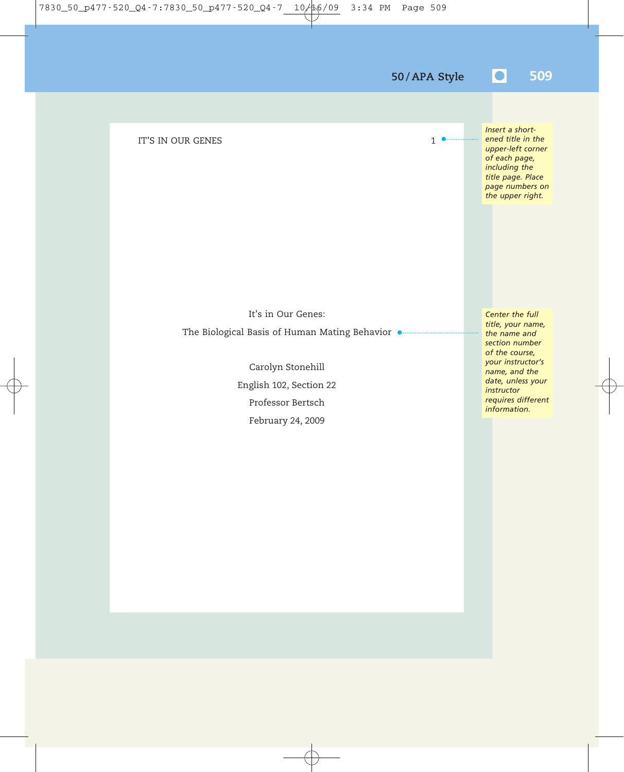**50 / APA Style 509**

It's in Our Genes: IT'S IN OUR GENES *ened title in the upper-left corner of each page, including the title page. Place page numbers on the upper right.* 1<sup>•</sup>

The Biological Basis of Human Mating Behavior  $\,\bullet\,$ 

Carolyn Stonehill English 102, Section 22 Professor Bertsch February 24, 2009

*Center the full title, your name, the name and section number of the course, your instructor's name, and the date, unless your instructor requires different information.*

*Insert a short-*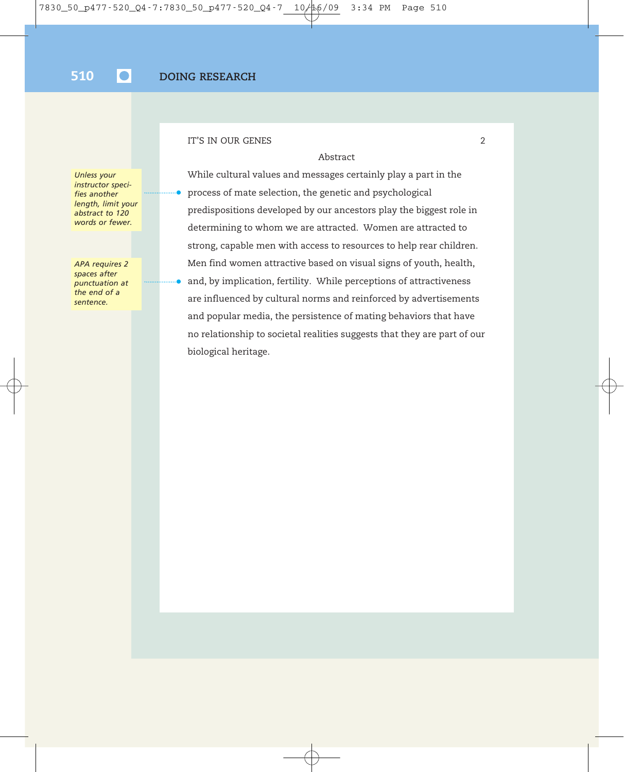#### Abstract

While cultural values and messages certainly play a part in the process of mate selection, the genetic and psychological predispositions developed by our ancestors play the biggest role in determining to whom we are attracted. Women are attracted to strong, capable men with access to resources to help rear children. Men find women attractive based on visual signs of youth, health, and, by implication, fertility. While perceptions of attractiveness are influenced by cultural norms and reinforced by advertisements and popular media, the persistence of mating behaviors that have no relationship to societal realities suggests that they are part of our biological heritage. • •

*Unless your instructor specifies another length, limit your abstract to 120 words or fewer.*

*APA requires 2 spaces after punctuation at the end of a sentence.*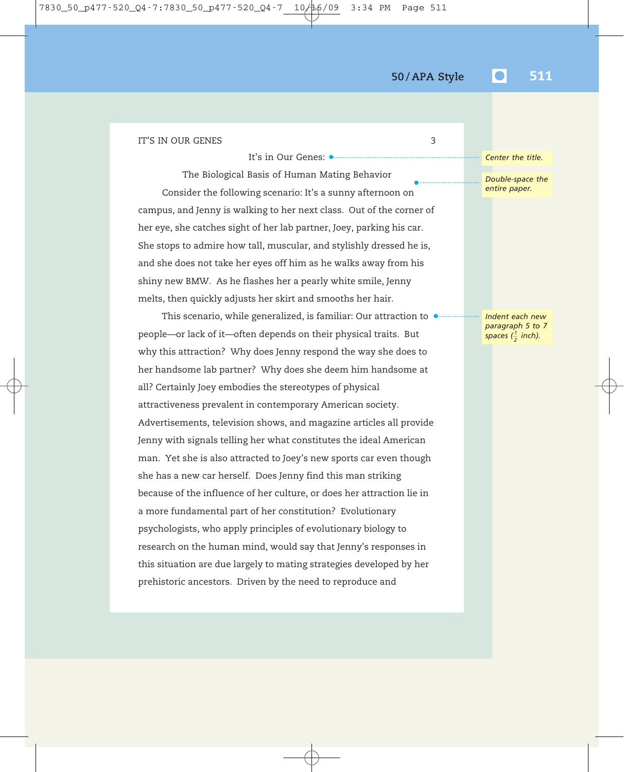It's in Our Genes: •

The Biological Basis of Human Mating Behavior Consider the following scenario: It's a sunny afternoon on campus, and Jenny is walking to her next class. Out of the corner of her eye, she catches sight of her lab partner, Joey, parking his car. She stops to admire how tall, muscular, and stylishly dressed he is, and she does not take her eyes off him as he walks away from his shiny new BMW. As he flashes her a pearly white smile, Jenny melts, then quickly adjusts her skirt and smooths her hair. •

This scenario, while generalized, is familiar: Our attraction to • people—or lack of it—often depends on their physical traits. But why this attraction? Why does Jenny respond the way she does to her handsome lab partner? Why does she deem him handsome at all? Certainly Joey embodies the stereotypes of physical attractiveness prevalent in contemporary American society. Advertisements, television shows, and magazine articles all provide Jenny with signals telling her what constitutes the ideal American man. Yet she is also attracted to Joey's new sports car even though she has a new car herself. Does Jenny find this man striking because of the influence of her culture, or does her attraction lie in a more fundamental part of her constitution? Evolutionary psychologists, who apply principles of evolutionary biology to research on the human mind, would say that Jenny's responses in this situation are due largely to mating strategies developed by her prehistoric ancestors. Driven by the need to reproduce and

*Center the title.*

*Double-space the entire paper.*

*Indent each new paragraph 5 to 7* spaces  $(\frac{1}{2}$  *inch*).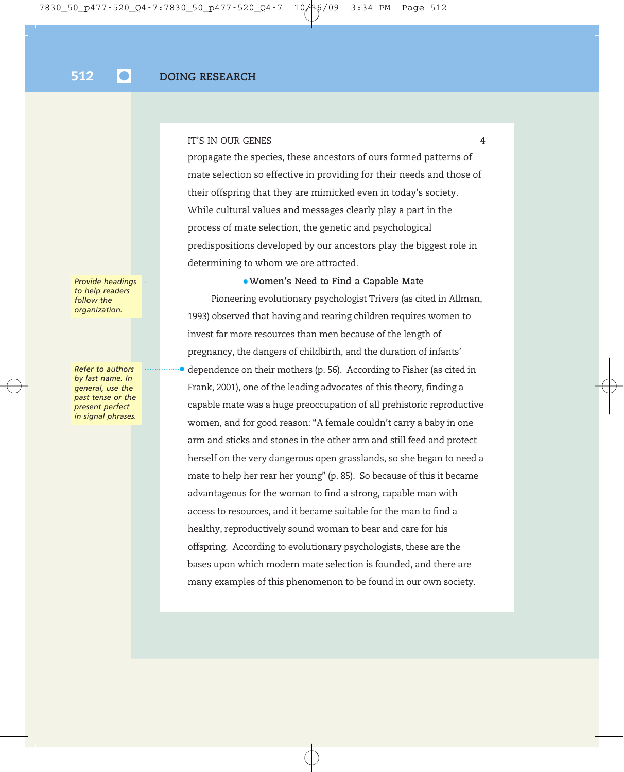propagate the species, these ancestors of ours formed patterns of mate selection so effective in providing for their needs and those of their offspring that they are mimicked even in today's society. While cultural values and messages clearly play a part in the process of mate selection, the genetic and psychological predispositions developed by our ancestors play the biggest role in determining to whom we are attracted.

**Women's Need to Find a Capable Mate** • Pioneering evolutionary psychologist Trivers (as cited in Allman, 1993) observed that having and rearing children requires women to invest far more resources than men because of the length of pregnancy, the dangers of childbirth, and the duration of infants' dependence on their mothers (p. 56). According to Fisher (as cited in Frank, 2001), one of the leading advocates of this theory, finding a capable mate was a huge preoccupation of all prehistoric reproductive women, and for good reason: "A female couldn't carry a baby in one arm and sticks and stones in the other arm and still feed and protect herself on the very dangerous open grasslands, so she began to need a mate to help her rear her young" (p. 85). So because of this it became advantageous for the woman to find a strong, capable man with access to resources, and it became suitable for the man to find a healthy, reproductively sound woman to bear and care for his offspring. According to evolutionary psychologists, these are the bases upon which modern mate selection is founded, and there are many examples of this phenomenon to be found in our own society. •

*Provide headings to help readers follow the organization.*

*Refer to authors by last name. In general, use the past tense or the present perfect in signal phrases.*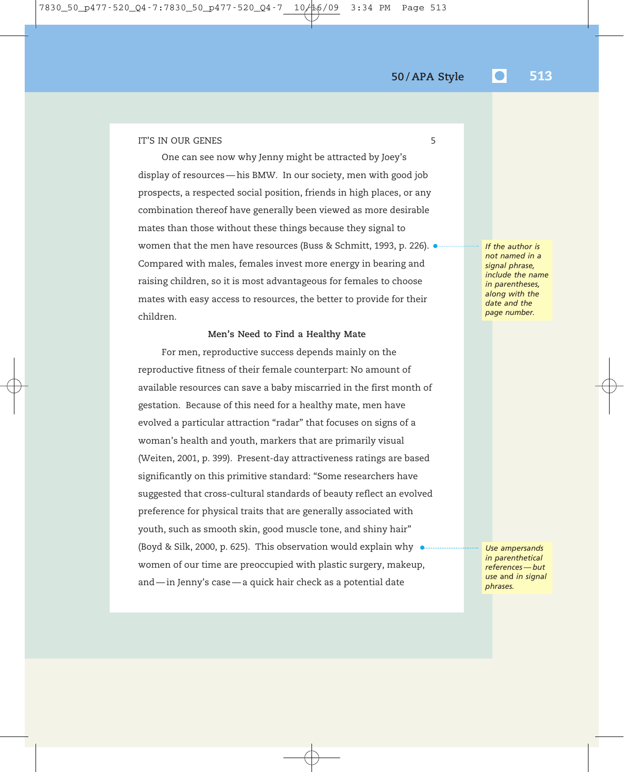One can see now why Jenny might be attracted by Joey's display of resources —his BMW. In our society, men with good job prospects, a respected social position, friends in high places, or any combination thereof have generally been viewed as more desirable mates than those without these things because they signal to women that the men have resources (Buss & Schmitt, 1993, p. 226). • Compared with males, females invest more energy in bearing and raising children, so it is most advantageous for females to choose mates with easy access to resources, the better to provide for their children.

#### **Men's Need to Find a Healthy Mate**

For men, reproductive success depends mainly on the reproductive fitness of their female counterpart: No amount of available resources can save a baby miscarried in the first month of gestation. Because of this need for a healthy mate, men have evolved a particular attraction "radar" that focuses on signs of a woman's health and youth, markers that are primarily visual (Weiten, 2001, p. 399). Present-day attractiveness ratings are based significantly on this primitive standard: "Some researchers have suggested that cross-cultural standards of beauty reflect an evolved preference for physical traits that are generally associated with youth, such as smooth skin, good muscle tone, and shiny hair" (Boyd & Silk, 2000, p. 625). This observation would explain why • women of our time are preoccupied with plastic surgery, makeup, and —in Jenny's case — a quick hair check as a potential date

*If the author is not named in a signal phrase, include the name in parentheses, along with the date and the page number.*

*Use ampersands in parenthetical references —but use* and *in signal phrases.*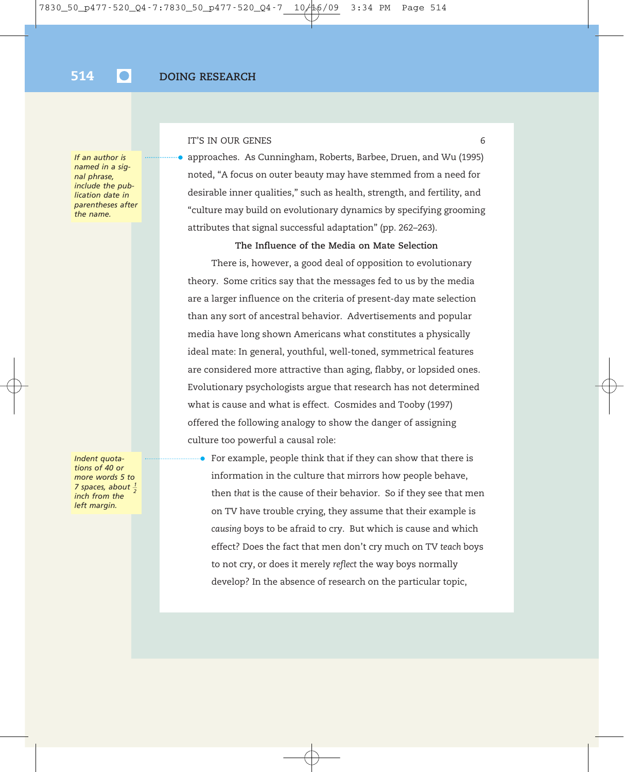*If an author is named in a signal phrase, include the publication date in parentheses after the name.*

*Indent quotations of 40 or more words 5 to 7* spaces, about  $\frac{1}{2}$ *inch from the left margin.*

#### IT'S IN OUR GENES 6

approaches. As Cunningham, Roberts, Barbee, Druen, and Wu (1995) noted, "A focus on outer beauty may have stemmed from a need for desirable inner qualities," such as health, strength, and fertility, and "culture may build on evolutionary dynamics by specifying grooming attributes that signal successful adaptation" (pp. 262–263). •

#### **The Influence of the Media on Mate Selection**

There is, however, a good deal of opposition to evolutionary theory. Some critics say that the messages fed to us by the media are a larger influence on the criteria of present-day mate selection than any sort of ancestral behavior. Advertisements and popular media have long shown Americans what constitutes a physically ideal mate: In general, youthful, well-toned, symmetrical features are considered more attractive than aging, flabby, or lopsided ones. Evolutionary psychologists argue that research has not determined what is cause and what is effect. Cosmides and Tooby (1997) offered the following analogy to show the danger of assigning culture too powerful a causal role:

 $\bullet~$  For example, people think that if they can show that there is information in the culture that mirrors how people behave, then *that* is the cause of their behavior. So if they see that men on TV have trouble crying, they assume that their example is *causing* boys to be afraid to cry. But which is cause and which effect? Does the fact that men don't cry much on TV *teach* boys to not cry, or does it merely *reflect* the way boys normally develop? In the absence of research on the particular topic,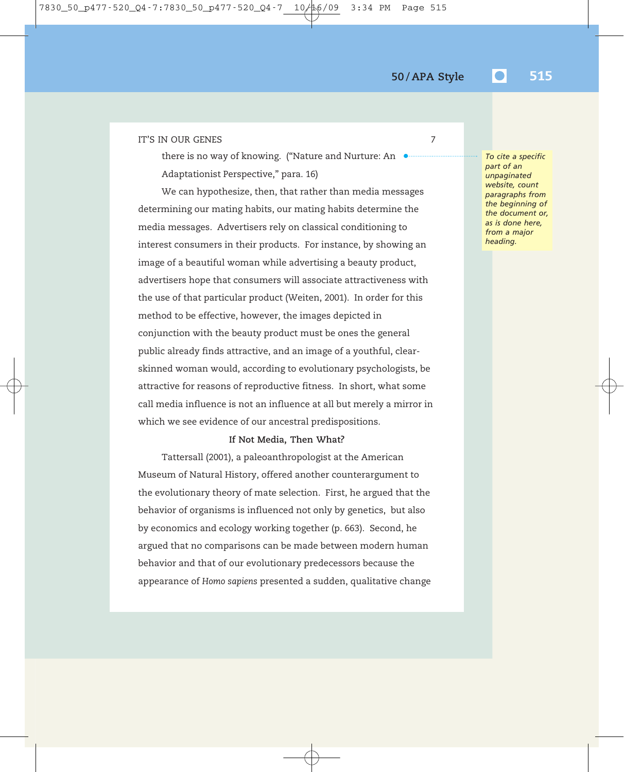there is no way of knowing. ("Nature and Nurture: An • Adaptationist Perspective," para. 16)

We can hypothesize, then, that rather than media messages determining our mating habits, our mating habits determine the media messages. Advertisers rely on classical conditioning to interest consumers in their products. For instance, by showing an image of a beautiful woman while advertising a beauty product, advertisers hope that consumers will associate attractiveness with the use of that particular product (Weiten, 2001). In order for this method to be effective, however, the images depicted in conjunction with the beauty product must be ones the general public already finds attractive, and an image of a youthful, clearskinned woman would, according to evolutionary psychologists, be attractive for reasons of reproductive fitness. In short, what some call media influence is not an influence at all but merely a mirror in which we see evidence of our ancestral predispositions.

#### **If Not Media, Then What?**

Tattersall (2001), a paleoanthropologist at the American Museum of Natural History, offered another counterargument to the evolutionary theory of mate selection. First, he argued that the behavior of organisms is influenced not only by genetics, but also by economics and ecology working together (p. 663). Second, he argued that no comparisons can be made between modern human behavior and that of our evolutionary predecessors because the appearance of *Homo sapiens* presented a sudden, qualitative change

*To cite a specific part of an unpaginated website, count paragraphs from the beginning of the document or, as is done here, from a major heading.*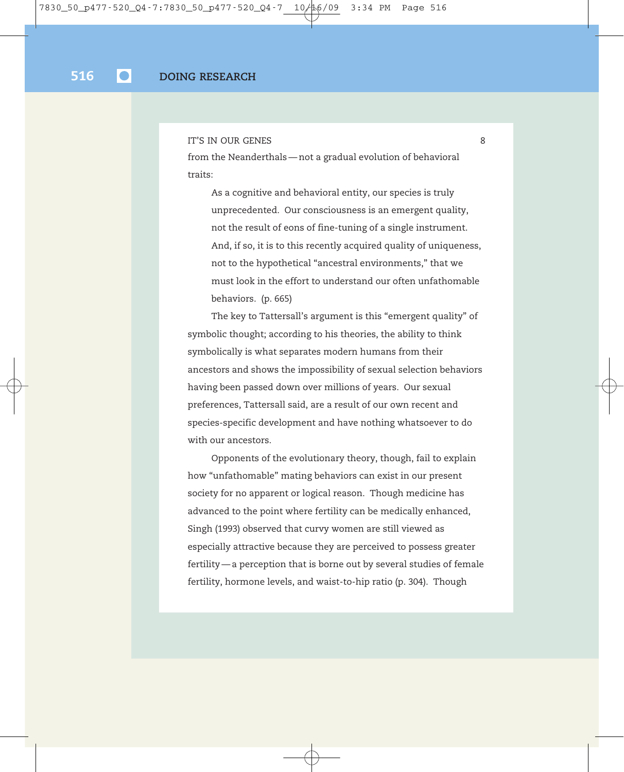from the Neanderthals — not a gradual evolution of behavioral traits:

As a cognitive and behavioral entity, our species is truly unprecedented. Our consciousness is an emergent quality, not the result of eons of fine-tuning of a single instrument. And, if so, it is to this recently acquired quality of uniqueness, not to the hypothetical "ancestral environments," that we must look in the effort to understand our often unfathomable behaviors. (p. 665)

The key to Tattersall's argument is this "emergent quality" of symbolic thought; according to his theories, the ability to think symbolically is what separates modern humans from their ancestors and shows the impossibility of sexual selection behaviors having been passed down over millions of years. Our sexual preferences, Tattersall said, are a result of our own recent and species-specific development and have nothing whatsoever to do with our ancestors.

Opponents of the evolutionary theory, though, fail to explain how "unfathomable" mating behaviors can exist in our present society for no apparent or logical reason. Though medicine has advanced to the point where fertility can be medically enhanced, Singh (1993) observed that curvy women are still viewed as especially attractive because they are perceived to possess greater fertility — a perception that is borne out by several studies of female fertility, hormone levels, and waist-to-hip ratio (p. 304). Though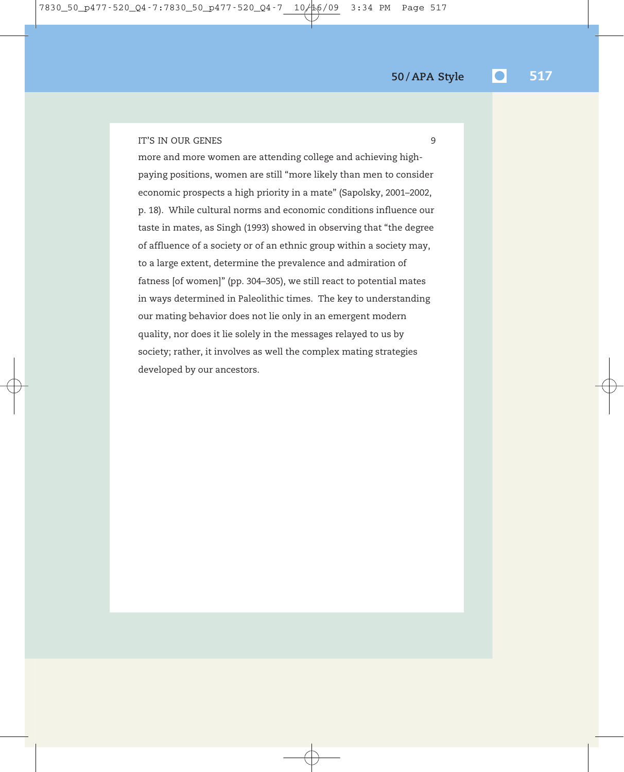more and more women are attending college and achieving highpaying positions, women are still "more likely than men to consider economic prospects a high priority in a mate" (Sapolsky, 2001–2002, p. 18). While cultural norms and economic conditions influence our taste in mates, as Singh (1993) showed in observing that "the degree of affluence of a society or of an ethnic group within a society may, to a large extent, determine the prevalence and admiration of fatness [of women]" (pp. 304–305), we still react to potential mates in ways determined in Paleolithic times. The key to understanding our mating behavior does not lie only in an emergent modern quality, nor does it lie solely in the messages relayed to us by society; rather, it involves as well the complex mating strategies developed by our ancestors.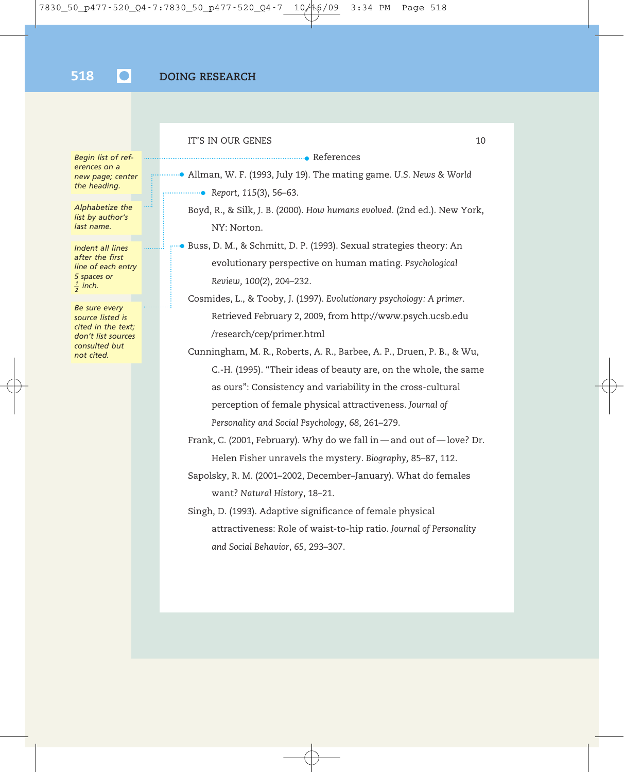## **518 DOING RESEARCH**

*Begin list of references on a new page; center the heading.*

*Alphabetize the list by author's last name.*

*Indent all lines after the first line of each entry 5 spaces or*  $\frac{1}{2}$  *inch.* 

*Be sure every source listed is cited in the text; don't list sources consulted but not cited.*

#### IT'S IN OUR GENES 10

Allman, W. F. (1993, July 19). The mating game. *U.S. News & World* •

References •

*Report, 115*(3), 56–63. •

Boyd, R., & Silk, J. B. (2000). *How humans evolved.* (2nd ed.). New York, NY: Norton.

Buss, D. M., & Schmitt, D. P. (1993). Sexual strategies theory: An • evolutionary perspective on human mating. *Psychological Review, 100*(2), 204–232.

Cosmides, L., & Tooby, J. (1997). *Evolutionary psychology: A primer.* Retrieved February 2, 2009, from http://www.psych.ucsb.edu /research/cep/primer.html

Cunningham, M. R., Roberts, A. R., Barbee, A. P., Druen, P. B., & Wu, C.-H. (1995). "Their ideas of beauty are, on the whole, the same as ours": Consistency and variability in the cross-cultural perception of female physical attractiveness. *Journal of Personality and Social Psychology, 68,* 261–279.

Frank, C. (2001, February). Why do we fall in —and out of— love? Dr. Helen Fisher unravels the mystery. *Biography,* 85–87, 112.

Sapolsky, R. M. (2001–2002, December–January). What do females want? *Natural History*, 18–21.

Singh, D. (1993). Adaptive significance of female physical attractiveness: Role of waist-to-hip ratio. *Journal of Personality and Social Behavior*, *65,* 293–307.